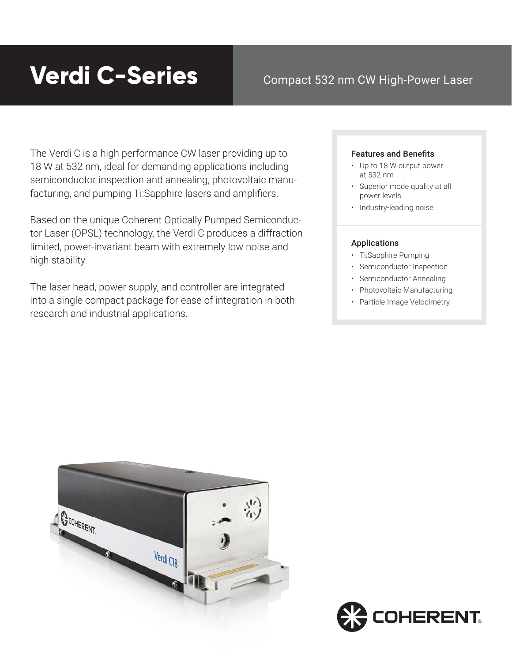# **Verdi C-Series**

### Compact 532 nm CW High-Power Laser

The Verdi C is a high performance CW laser providing up to 18 W at 532 nm, ideal for demanding applications including semiconductor inspection and annealing, photovoltaic manufacturing, and pumping Ti:Sapphire lasers and amplifiers.

Based on the unique Coherent Optically Pumped Semiconductor Laser (OPSL) technology, the Verdi C produces a diffraction limited, power-invariant beam with extremely low noise and high stability.

The laser head, power supply, and controller are integrated into a single compact package for ease of integration in both research and industrial applications.

### Features and Benefits

- Up to 18 W output power at 532 nm
- Superior mode quality at all power levels
- Industry-leading noise

### Applications

- Ti:Sapphire Pumping
- Semiconductor Inspection
- Semiconductor Annealing
- Photovoltaic Manufacturing
- Particle Image Velocimetry



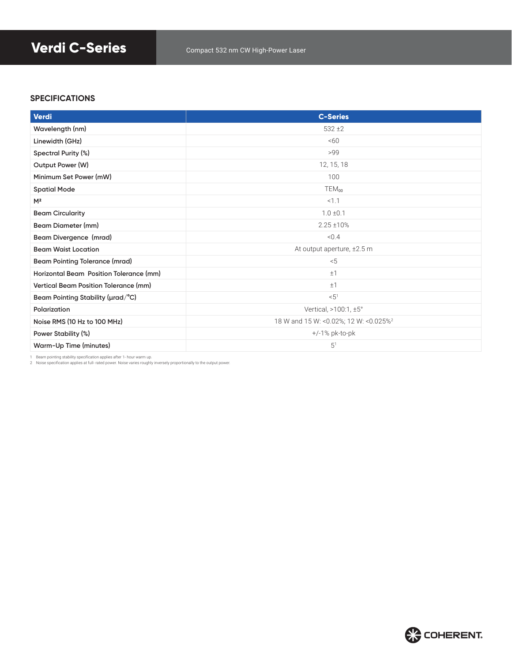## **Verdi C-Series** Compact 532 nm CW High-Power Laser

### **SPECIFICATIONS**

| Verdi                                   | <b>C-Series</b>                                   |
|-----------------------------------------|---------------------------------------------------|
| Wavelength (nm)                         | $532 + 2$                                         |
| Linewidth (GHz)                         | &50                                               |
| Spectral Purity (%)                     | >99                                               |
| Output Power (W)                        | 12, 15, 18                                        |
| Minimum Set Power (mW)                  | 100                                               |
| <b>Spatial Mode</b>                     | $TEM_{00}$                                        |
| M <sup>2</sup>                          | < 1.1                                             |
| <b>Beam Circularity</b>                 | $1.0 \pm 0.1$                                     |
| Beam Diameter (mm)                      | $2.25 \pm 10\%$                                   |
| Beam Divergence (mrad)                  | < 0.4                                             |
| <b>Beam Waist Location</b>              | At output aperture, ±2.5 m                        |
| <b>Beam Pointing Tolerance (mrad)</b>   | < 5                                               |
| Horizontal Beam Position Tolerance (mm) | ±1                                                |
| Vertical Beam Position Tolerance (mm)   | ±1                                                |
| Beam Pointing Stability ( $\mu$ rad/°C) | < 5 <sup>1</sup>                                  |
| Polarization                            | Vertical, >100:1, ±5°                             |
| Noise RMS (10 Hz to 100 MHz)            | 18 W and 15 W: <0.02%; 12 W: <0.025% <sup>2</sup> |
| Power Stability (%)                     | $+/-1\%$ pk-to-pk                                 |
| Warm-Up Time (minutes)                  | 5 <sup>1</sup>                                    |

1 Beam pointing stability specification applies after 1- hour warm up. 2 Noise specification applies at full- rated power. Noise varies roughly inversely proportionally to the output power.

**COHERENT.**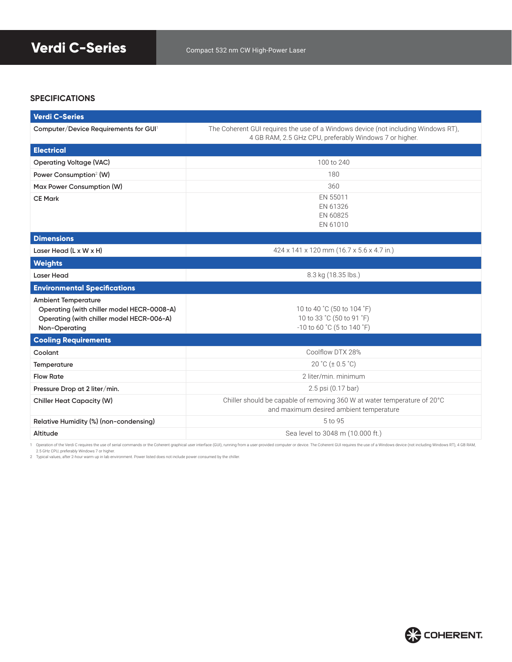### **SPECIFICATIONS**

| <b>Verdi C-Series</b>                                                                                                                  |                                                                                                                                             |  |
|----------------------------------------------------------------------------------------------------------------------------------------|---------------------------------------------------------------------------------------------------------------------------------------------|--|
| Computer/Device Requirements for GUI <sup>1</sup>                                                                                      | The Coherent GUI requires the use of a Windows device (not including Windows RT),<br>4 GB RAM, 2.5 GHz CPU, preferably Windows 7 or higher. |  |
| <b>Electrical</b>                                                                                                                      |                                                                                                                                             |  |
| <b>Operating Voltage (VAC)</b>                                                                                                         | 100 to 240                                                                                                                                  |  |
| Power Consumption <sup>2</sup> (W)                                                                                                     | 180                                                                                                                                         |  |
| Max Power Consumption (W)                                                                                                              | 360                                                                                                                                         |  |
| <b>CE Mark</b>                                                                                                                         | EN 55011<br>EN 61326<br>EN 60825<br>EN 61010                                                                                                |  |
| <b>Dimensions</b>                                                                                                                      |                                                                                                                                             |  |
| Laser Head (L x W x H)                                                                                                                 | 424 x 141 x 120 mm (16.7 x 5.6 x 4.7 in.)                                                                                                   |  |
| <b>Weights</b>                                                                                                                         |                                                                                                                                             |  |
| <b>Laser Head</b>                                                                                                                      | 8.3 kg (18.35 lbs.)                                                                                                                         |  |
| <b>Environmental Specifications</b>                                                                                                    |                                                                                                                                             |  |
| <b>Ambient Temperature</b><br>Operating (with chiller model HECR-0008-A)<br>Operating (with chiller model HECR-006-A)<br>Non-Operating | 10 to 40 °C (50 to 104 °F)<br>10 to 33 °C (50 to 91 °F)<br>-10 to 60 °C (5 to 140 °F)                                                       |  |
| <b>Cooling Requirements</b>                                                                                                            |                                                                                                                                             |  |
| Coolant                                                                                                                                | Coolflow DTX 28%                                                                                                                            |  |
| Temperature                                                                                                                            | 20 °C ( $\pm$ 0.5 °C)                                                                                                                       |  |
| <b>Flow Rate</b>                                                                                                                       | 2 liter/min. minimum                                                                                                                        |  |
| Pressure Drop at 2 liter/min.                                                                                                          | 2.5 psi (0.17 bar)                                                                                                                          |  |
| <b>Chiller Heat Capacity (W)</b>                                                                                                       | Chiller should be capable of removing 360 W at water temperature of 20°C<br>and maximum desired ambient temperature                         |  |
| Relative Humidity (%) (non-condensing)                                                                                                 | 5 to 95                                                                                                                                     |  |
| Altitude                                                                                                                               | Sea level to 3048 m (10.000 ft.)                                                                                                            |  |

1 Operation of the Verdi C requires the use of serial commands or the Coherent graphical user interface (GUI), running from a user-provided computer or device. The Coherent GUI requires the use of a Windows device (not inc